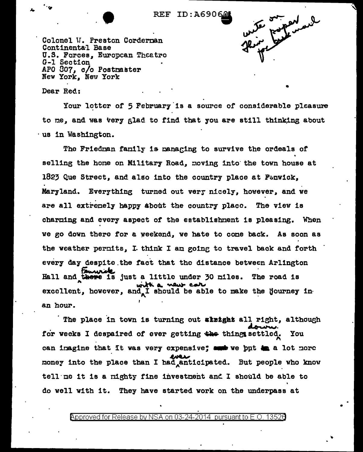**••• REF ID:A690601** 



•

Colonel V. Preston Corderman Continenta·l Base U.S. Forces, Europcan Theatro G-1 Section APO 807, c/o Postmaster New York, New York

Dear Red.: •

"lir

Your letter of 5 February is a source of considerable pleasure to me, and was very glad to find that you are still thinking about · us in Washington.

The Friedman family is managing to survive the ordeals of selling the hone on Military Road, moving into the town house at 1823 Que Strect, and also into the country place at  $F\simeq$ nwick, Maryland. Everything turned out very nicely, however, and we are all extremely happy about the country place. The view is charming and every aspect of the establishment is pleasing. When we go down thero for a weekend, we hate to come back. As soon as the weather permits, I. think I am going to travel back and forth the weather permits, I the<br>every day despite the face<br>Fall and these is just a despite the fact that the distance between Arlington ... Hall and there is just a little under 30 miles. The road is with a vew cate excellent,, .<br>. ene is just a little under 30 miles. The road is<br>with a vew call<br>however, and I should be able to make the Hourney in an hour.

The place in town is turning out sizight all right, although<br>for weeks I despaired of ever getting the things settled. You can imagine that it was very expensive; and we ppt ta a lot more It was very expensive; money into the place than I had anticipated. But people who know tell me it is a nighty fine investment and I should be able to do well with it. They have started work on the underpass at

@'pproved for Release by NSA on 03-24-2014 pursuantto E.O. 1352a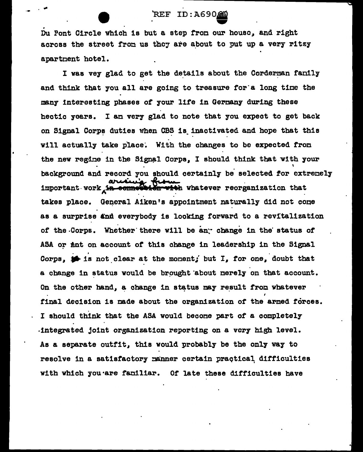## REF ID: A69060

.  $\mathbf{\dot{D}}$ u Pont Circle which is but a step from our house, and right across the street from us they are about to put up a very ritzy apartment hotel.

I was vey glad to get the details about the Corderman fanily and think that you all are going to treasure for·a long tine the many interesting phases of your life in Germany during these hectic years. I an very glad to note that you expect to get back on Signal Corps duties when CBS is inactivated and hope that this will actually take place. With the changes to be expected from the new regine in the Signal Corps, I should think that with your \ background and record you should certainly be selected for extremely important-work in connection with whatever reorganization that takes place. General Aiken's appointment naturally did not come as a surprise and everybody is looking forward to a revitalization of the Corps. Whether there will be an<sup>.</sup> change in the status of ASA or *finit* on account of this change in leadership in the Signal .<br>Corps,  $\bullet$  is not clear at the monent; but I, for one, doubt that a change in status would be brought about nerely on that account. On the other hand, a change in status may result from whatever final decision is made about the organization of the armed forces. I should think that the ASA would becone part of a coapletely -integrated joint organization reporting on a very high level. As a separate outfit, this would probably be the only way to resolve in a satisfactory manner certain practical difficulties with which you are familiar. Of late these difficulties have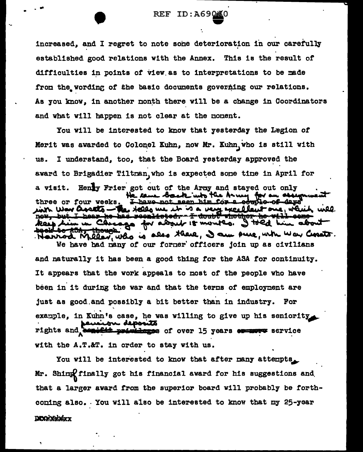increased, and I regret to note some deterioration in our carefully established good relations with the Annex. This is the result of difficulties in points of view as to interpretations to be made from the wording of the basic documents governing our relations. As you know, in another month there will be a change in Coordinators and what will happen is not clear at the noment.

You will be intorested to know that yesterday the Legion of Merit was awarded to Colonel Kuhn, now Mr. Kuhn, who is still with I understand, too. that the Board yesterday approved the us. award to Brigadier Tiltman, who is expected some time in April for Henry Frier got out of the Army and stayed out only a visit. came back who the Army. He came back who the Army for an adding with War assets - the fells we it is a very excellent one, which will keep him in Chrago for about 18 montes. I told him about <del>te ASA. thoug</del>h. Narrod Meler, who is also there, I am sure, who was Corato.

We have had many of our former officers join up as civilians and naturally it has been a good thing for the ASA for continuity. It appears that the work appeals to most of the people who have been in it during the war and that the terms of employment are just as good and possibly a bit better than in industry. For example, in Kuhn's case, he was willing to give up his seniority on deposits rights and benefit primileges of over 15 years structs service with the A.T.&T. in order to stay with us.

You will be interested to know that after many attempts. Mr. Shing finally got his financial award for his suggestions and that a larger award from the superior board will probably be forthconing also. You will also be interested to know that my 25-year **DIXOGRENIXY**